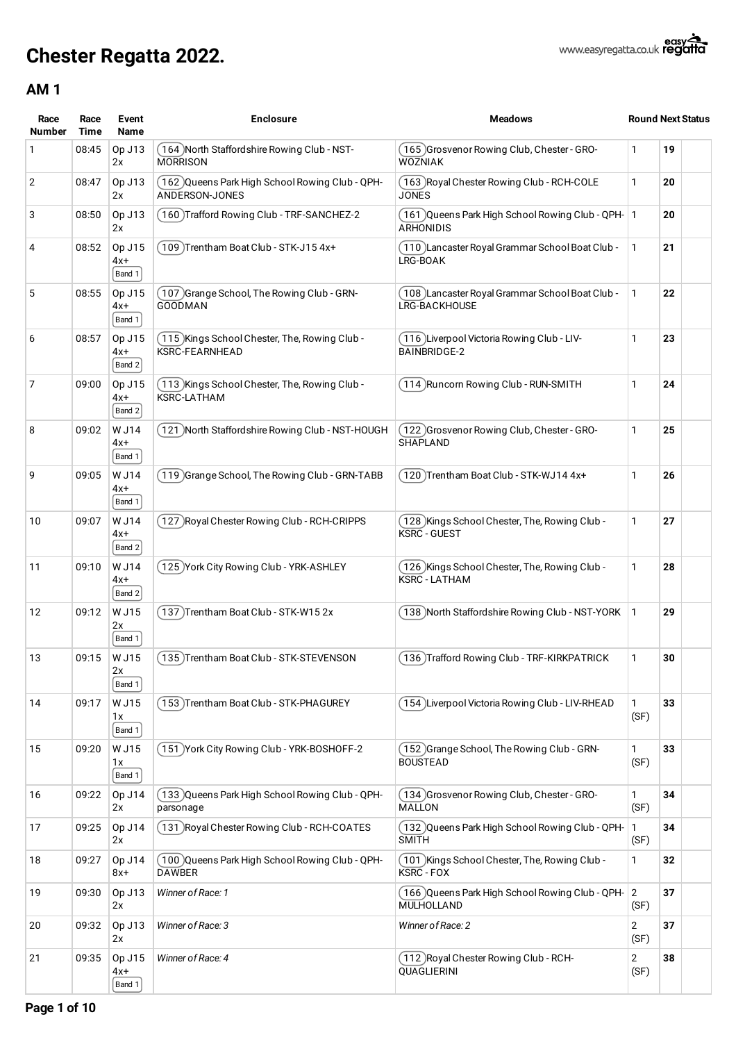| Race<br><b>Number</b> | Race<br>Time | Event<br>Name             | <b>Enclosure</b>                                                        | <b>Meadows</b>                                                            |                        | <b>Round Next Status</b> |
|-----------------------|--------------|---------------------------|-------------------------------------------------------------------------|---------------------------------------------------------------------------|------------------------|--------------------------|
| 1                     | 08:45        | Op J13<br>2x              | 164) North Staffordshire Rowing Club - NST-<br><b>MORRISON</b>          | (165) Grosvenor Rowing Club, Chester - GRO-<br><b>WOZNIAK</b>             | 1                      | 19                       |
| 2                     | 08:47        | Op J13<br>2x              | 162 Queens Park High School Rowing Club - QPH-<br>ANDERSON-JONES        | (163 )Royal Chester Rowing Club - RCH-COLE<br><b>JONES</b>                | 1                      | 20                       |
| 3                     | 08:50        | Op J13<br>2x              | 160 Trafford Rowing Club - TRF-SANCHEZ-2                                | ( 161 )Queens Park High School Rowing Club - QPH-   1<br><b>ARHONIDIS</b> |                        | 20                       |
| 4                     | 08:52        | Op J15<br>$4x+$<br>Band 1 | 109) Trentham Boat Club - STK-J15 4x+                                   | (110) Lancaster Royal Grammar School Boat Club -<br>LRG-BOAK              | 1                      | 21                       |
| 5                     | 08:55        | Op J15<br>4x+<br>Band 1   | (107) Grange School, The Rowing Club - GRN-<br><b>GOODMAN</b>           | 108 Lancaster Royal Grammar School Boat Club -<br>LRG-BACKHOUSE           | 1                      | 22                       |
| 6                     | 08:57        | Op J15<br>4x+<br>Band 2   | (115 )Kings School Chester, The, Rowing Club -<br><b>KSRC-FEARNHEAD</b> | (116 )Liverpool Victoria Rowing Club - LIV-<br><b>BAINBRIDGE-2</b>        | 1                      | 23                       |
| 7                     | 09:00        | Op J15<br>$4x+$<br>Band 2 | 113 Kings School Chester, The, Rowing Club -<br><b>KSRC-LATHAM</b>      | (114) Runcorn Rowing Club - RUN-SMITH                                     | 1                      | 24                       |
| 8                     | 09:02        | W J14<br>4x+<br>Band 1    | 121 North Staffordshire Rowing Club - NST-HOUGH                         | (122 )Grosvenor Rowing Club, Chester - GRO-<br><b>SHAPLAND</b>            | 1                      | 25                       |
| 9                     | 09:05        | W J14<br>$4x+$<br>Band 1  | 119 Grange School, The Rowing Club - GRN-TABB                           | 120)Trentham Boat Club - STK-WJ14 4x+                                     | 1                      | 26                       |
| 10                    | 09:07        | W J14<br>4x+<br>Band 2    | 127 Royal Chester Rowing Club - RCH-CRIPPS                              | (128 )Kings School Chester, The, Rowing Club -<br><b>KSRC - GUEST</b>     | 1                      | 27                       |
| 11                    | 09:10        | W J14<br>$4x+$<br>Band 2  | 125 York City Rowing Club - YRK-ASHLEY                                  | (126 )Kings School Chester, The, Rowing Club -<br><b>KSRC - LATHAM</b>    | 1                      | 28                       |
| 12                    | 09:12        | W J15<br>2x<br>Band 1     | 137) Trentham Boat Club - STK-W15 2x                                    | 138 North Staffordshire Rowing Club - NST-YORK                            | 1                      | 29                       |
| 13                    | 09:15        | W J15<br>2x<br>Band 1     | 135) Trentham Boat Club - STK-STEVENSON                                 | (136 )Trafford Rowing Club - TRF-KIRKPATRICK                              | 1                      | 30                       |
| 14                    | 09:17        | W J15<br>1x<br>Band 1     | 153) Trentham Boat Club - STK-PHAGUREY                                  | (154)Liverpool Victoria Rowing Club - LIV-RHEAD                           | 1<br>(SF)              | 33                       |
| 15                    | 09:20        | W J15<br>1x<br>Band 1     | 151 York City Rowing Club - YRK-BOSHOFF-2                               | (152 )Grange School, The Rowing Club - GRN-<br><b>BOUSTEAD</b>            | 1<br>(SF)              | 33                       |
| 16                    | 09:22        | Op J14<br>2x              | 133 Queens Park High School Rowing Club - QPH-<br>parsonage             | (134)Grosvenor Rowing Club, Chester - GRO-<br><b>MALLON</b>               | 1<br>(SF)              | 34                       |
| 17                    | 09:25        | Op J14<br>2x              | 131 Royal Chester Rowing Club - RCH-COATES                              | (132) Queens Park High School Rowing Club - QPH-<br><b>SMITH</b>          | 1<br>(SF)              | 34                       |
| 18                    | 09:27        | Op J14<br>8x+             | 100 Queens Park High School Rowing Club - QPH-<br><b>DAWBER</b>         | ( 101 )Kings School Chester, The, Rowing Club -<br>KSRC - FOX             | 1                      | 32                       |
| 19                    | 09:30        | Op J13<br>2x              | Winner of Race: 1                                                       | (166) Queens Park High School Rowing Club - QPH- 2<br>MULHOLLAND          | (SF)                   | 37                       |
| 20                    | 09:32        | Op J13<br>2x              | Winner of Race: 3                                                       | Winner of Race: 2                                                         | $\overline{2}$<br>(SF) | 37                       |
| 21                    | 09:35        | Op J15<br>4x+<br>Band 1   | Winner of Race: 4                                                       | (112 )Royal Chester Rowing Club - RCH-<br>QUAGLIERINI                     | $\overline{2}$<br>(SF) | 38                       |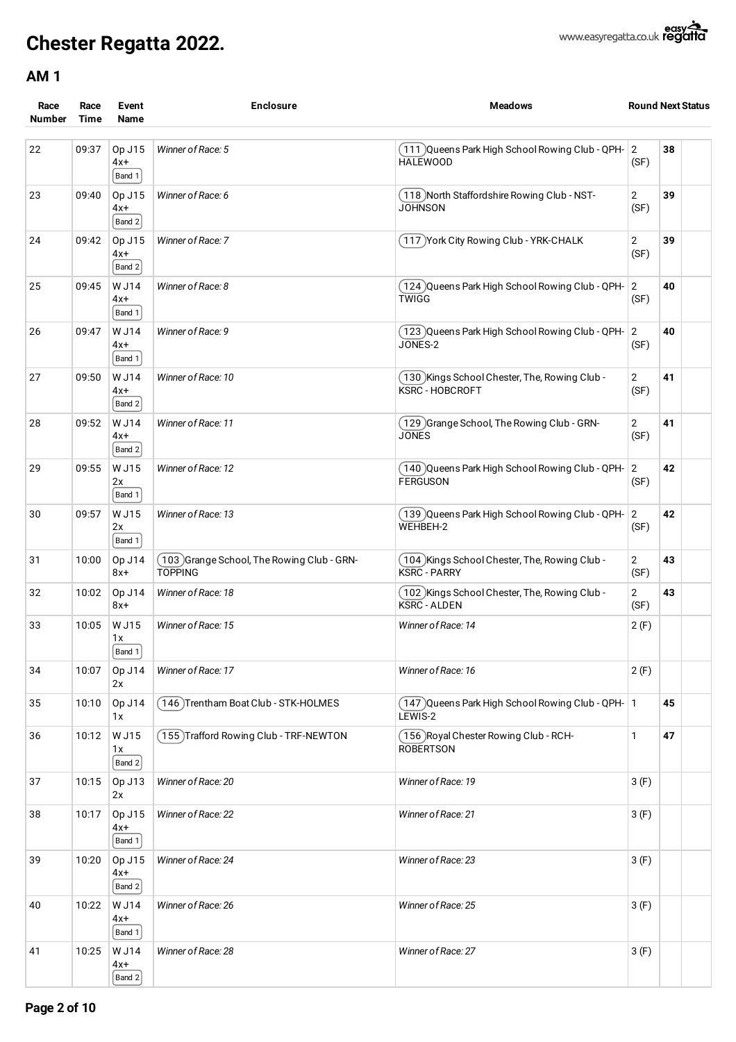| Race<br><b>Number</b> | Race<br>Time | Event<br>Name                | <b>Enclosure</b>                                              | <b>Meadows</b>                                                           | <b>Round Next Status</b> |    |  |
|-----------------------|--------------|------------------------------|---------------------------------------------------------------|--------------------------------------------------------------------------|--------------------------|----|--|
| 22                    | 09:37        | Op J15<br>$4x+$<br>Band 1    | Winner of Race: 5                                             | (111) Queens Park High School Rowing Club - QPH- 2<br><b>HALEWOOD</b>    | (SF)                     | 38 |  |
| 23                    | 09:40        | Op J15<br>4x+<br>$ $ Band 2  | Winner of Race: 6                                             | (118) North Staffordshire Rowing Club - NST-<br><b>JOHNSON</b>           | 2<br>(SF)                | 39 |  |
| 24                    | 09:42        | Op J15<br>4x+<br>Band 2      | Winner of Race: 7                                             | (117) York City Rowing Club - YRK-CHALK                                  | 2<br>(SF)                | 39 |  |
| 25                    | 09:45        | W J14<br>4x+<br>Band 1       | Winner of Race: 8                                             | (124)Queens Park High School Rowing Club - QPH-<br>TWIGG                 | $\overline{2}$<br>(SF)   | 40 |  |
| 26                    | 09:47        | W J14<br>4x+<br>Band 1       | Winner of Race: 9                                             | (123) Queens Park High School Rowing Club - QPH- 2<br>JONES-2            | (SF)                     | 40 |  |
| 27                    | 09:50        | W J14<br>$4x+$<br>Band 2     | Winner of Race: 10                                            | (130) Kings School Chester, The, Rowing Club -<br><b>KSRC - HOBCROFT</b> | $\overline{2}$<br>(SF)   | 41 |  |
| 28                    | 09:52        | W J14<br>4x+<br>Band 2       | Winner of Race: 11                                            | (129 )Grange School, The Rowing Club - GRN-<br><b>JONES</b>              | 2<br>(SF)                | 41 |  |
| 29                    | 09:55        | W J15<br>2x<br>Band 1        | Winner of Race: 12                                            | (140)Queens Park High School Rowing Club - QPH-<br><b>FERGUSON</b>       | $\vert$ 2<br>(SF)        | 42 |  |
| 30                    | 09:57        | W J15<br>2x<br>Band 1        | Winner of Race: 13                                            | (139)Queens Park High School Rowing Club - QPH-<br>WEHBEH-2              | $\overline{2}$<br>(SF)   | 42 |  |
| 31                    | 10:00        | Op J14<br>$8x+$              | (103) Grange School, The Rowing Club - GRN-<br><b>TOPPING</b> | (104) Kings School Chester, The, Rowing Club -<br><b>KSRC - PARRY</b>    | 2<br>(SF)                | 43 |  |
| 32                    | 10:02        | Op J14<br>$8x+$              | Winner of Race: 18                                            | (102) Kings School Chester, The, Rowing Club -<br><b>KSRC - ALDEN</b>    | $\overline{2}$<br>(SF)   | 43 |  |
| 33                    | 10:05        | <b>WJ15</b><br>1 X<br>Band 1 | Winner of Race: 15                                            | Winner of Race: 14                                                       | 2(F)                     |    |  |
| 34                    | 10:07        | Op J14<br>2x                 | Winner of Race: 17                                            | Winner of Race: 16                                                       | 2(F)                     |    |  |
| 35                    | 10:10        | Op J14<br>1x                 | 146) Trentham Boat Club - STK-HOLMES                          | $(147)$ Queens Park High School Rowing Club - QPH- $\vert$ 1<br>LEWIS-2  |                          | 45 |  |
| 36                    | 10:12        | W J15<br>1x<br>Band 2        | 155 Trafford Rowing Club - TRF-NEWTON                         | (156) Royal Chester Rowing Club - RCH-<br><b>ROBERTSON</b>               | 1                        | 47 |  |
| 37                    | 10:15        | Op J13<br>2x                 | Winner of Race: 20                                            | Winner of Race: 19                                                       | 3(F)                     |    |  |
| 38                    | 10:17        | Op J15<br>4x+<br>Band 1      | Winner of Race: 22                                            | Winner of Race: 21                                                       | 3(F)                     |    |  |
| 39                    | 10:20        | Op J15<br>$4x+$<br>Band 2    | Winner of Race: 24                                            | Winner of Race: 23                                                       | 3(F)                     |    |  |
| 40                    | 10:22        | W J14<br>$4x+$<br>$ $ Band 1 | Winner of Race: 26                                            | Winner of Race: 25                                                       | 3(F)                     |    |  |
| 41                    | 10:25        | W J14<br>$4x+$<br>Band 2     | Winner of Race: 28                                            | Winner of Race: 27                                                       | 3(F)                     |    |  |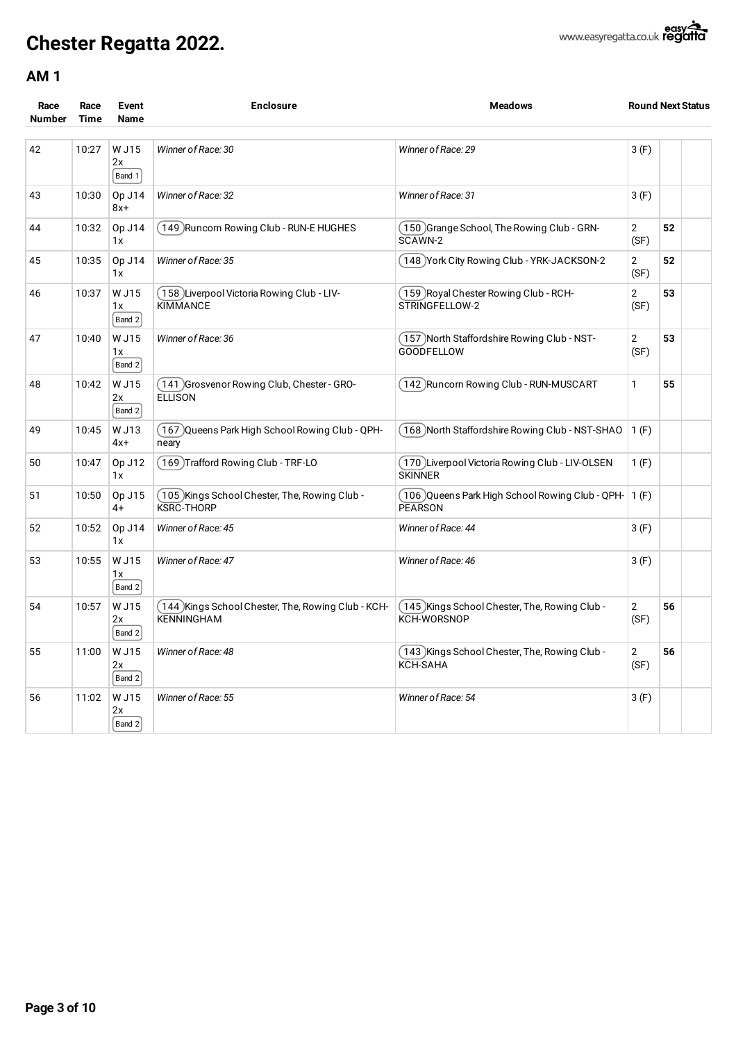

| Race<br><b>Number</b> | Race<br><b>Time</b> | Event<br>Name           | <b>Enclosure</b>                                                    | <b>Meadows</b>                                                     | <b>Round Next Status</b> |    |  |
|-----------------------|---------------------|-------------------------|---------------------------------------------------------------------|--------------------------------------------------------------------|--------------------------|----|--|
| 42                    | 10:27               | W J15<br>2x<br>Band $1$ | Winner of Race: 30                                                  | Winner of Race: 29                                                 | 3(F)                     |    |  |
| 43                    | 10:30               | Op J14<br>$8x+$         | Winner of Race: 32                                                  | Winner of Race: 31                                                 | 3(F)                     |    |  |
| 44                    | 10:32               | Op J14<br>1x            | 149 Runcorn Rowing Club - RUN-E HUGHES                              | (150)Grange School, The Rowing Club - GRN-<br>SCAWN-2              | $\overline{2}$<br>(SF)   | 52 |  |
| 45                    | 10:35               | Op J14<br>1x            | Winner of Race: 35                                                  | (148) York City Rowing Club - YRK-JACKSON-2                        | $\sqrt{2}$<br>(SF)       | 52 |  |
| 46                    | 10:37               | W J15<br>1x<br>Band $2$ | [158] Liverpool Victoria Rowing Club - LIV-<br><b>KIMMANCE</b>      | (159 )Royal Chester Rowing Club - RCH-<br>STRINGFELLOW-2           | $\sqrt{2}$<br>(SF)       | 53 |  |
| 47                    | 10:40               | W J15<br>1x<br>Band 2   | Winner of Race: 36                                                  | (157) North Staffordshire Rowing Club - NST-<br><b>GOODFELLOW</b>  | $\overline{2}$<br>(SF)   | 53 |  |
| 48                    | 10:42               | W J15<br>2x<br>Band $2$ | 141 Grosvenor Rowing Club, Chester - GRO-<br><b>ELLISON</b>         | (142) Runcorn Rowing Club - RUN-MUSCART                            | $\mathbf{1}$             | 55 |  |
| 49                    | 10:45               | W J13<br>$4x +$         | (167)Queens Park High School Rowing Club - QPH-<br>neary            | (168) North Staffordshire Rowing Club - NST-SHAO                   | 1(F)                     |    |  |
| 50                    | 10:47               | Op J12<br>1x            | (169)Trafford Rowing Club - TRF-LO                                  | (170) Liverpool Victoria Rowing Club - LIV-OLSEN<br><b>SKINNER</b> | 1(F)                     |    |  |
| 51                    | 10:50               | Op J15<br>$4+$          | (105) Kings School Chester, The, Rowing Club -<br><b>KSRC-THORP</b> | (106) Queens Park High School Rowing Club - QPH- 1 (F)<br>PEARSON  |                          |    |  |
| 52                    | 10:52               | Op J14<br>1x            | Winner of Race: 45                                                  | Winner of Race: 44                                                 | 3(F)                     |    |  |
| 53                    | 10:55               | W J15<br>1x<br>Band 2   | Winner of Race: 47                                                  | Winner of Race: 46                                                 | 3(F)                     |    |  |
| 54                    | 10:57               | W J15<br>2x<br>Band 2   | 144 Kings School Chester, The, Rowing Club - KCH-<br>KENNINGHAM     | (145) Kings School Chester, The, Rowing Club -<br>KCH-WORSNOP      | $\overline{2}$<br>(SF)   | 56 |  |
| 55                    | 11:00               | W J15<br>2x<br>Band $2$ | Winner of Race: 48                                                  | (143) Kings School Chester, The, Rowing Club -<br><b>KCH-SAHA</b>  | $\overline{2}$<br>(SF)   | 56 |  |
| 56                    | 11:02               | W J15<br>2x<br>Band $2$ | Winner of Race: 55                                                  | Winner of Race: 54                                                 | 3(F)                     |    |  |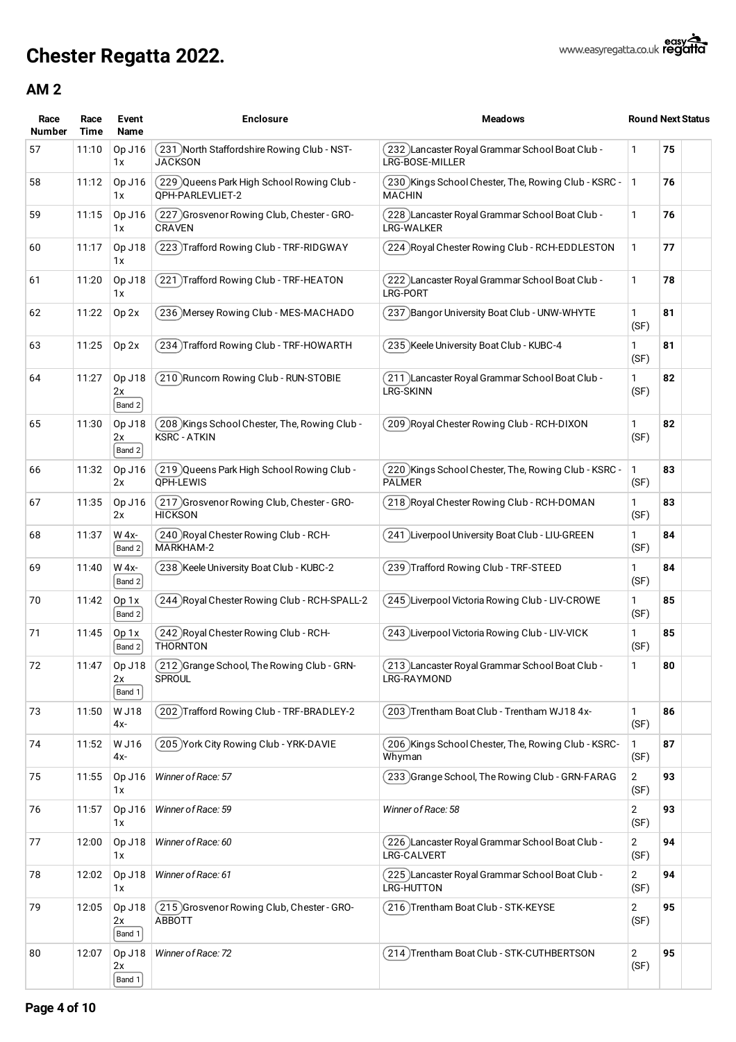| Race<br><b>Number</b> | Race<br>Time | Event<br>Name          | <b>Enclosure</b>                                                   | <b>Meadows</b>                                                         |                        | <b>Round Next Status</b> |
|-----------------------|--------------|------------------------|--------------------------------------------------------------------|------------------------------------------------------------------------|------------------------|--------------------------|
| 57                    | 11:10        | Op J16<br>1 x          | 231 North Staffordshire Rowing Club - NST-<br><b>JACKSON</b>       | 232 Lancaster Royal Grammar School Boat Club -<br>LRG-BOSE-MILLER      | 1                      | 75                       |
| 58                    | 11:12        | Op J16<br>1x           | 229 Queens Park High School Rowing Club -<br>OPH-PARLEVLIET-2      | (230 )Kings School Chester, The, Rowing Club - KSRC -<br><b>MACHIN</b> | 1                      | 76                       |
| 59                    | 11:15        | Op J16<br>1x           | 227 Grosvenor Rowing Club, Chester - GRO-<br><b>CRAVEN</b>         | 228 Lancaster Royal Grammar School Boat Club -<br>LRG-WALKER           | 1                      | 76                       |
| 60                    | 11:17        | Op J18<br>1x           | 223 Trafford Rowing Club - TRF-RIDGWAY)                            | 224 Royal Chester Rowing Club - RCH-EDDLESTON                          | 1                      | 77                       |
| 61                    | 11:20        | Op J18<br>1x           | 221 Trafford Rowing Club - TRF-HEATON                              | 222 Lancaster Royal Grammar School Boat Club -<br>LRG-PORT             | 1                      | 78                       |
| 62                    | 11:22        | Op 2x                  | 236 Mersey Rowing Club - MES-MACHADO                               | 237 Bangor University Boat Club - UNW-WHYTE                            | 1<br>(SF)              | 81                       |
| 63                    | 11:25        | Op 2x                  | 234)Trafford Rowing Club - TRF-HOWARTH                             | 235 )Keele University Boat Club - KUBC-4                               | 1<br>(SF)              | 81                       |
| 64                    | 11:27        | Op J18<br>2x<br>Band 2 | 210 Runcorn Rowing Club - RUN-STOBIE                               | 211 ) Lancaster Royal Grammar School Boat Club -<br><b>LRG-SKINN</b>   | 1<br>(SF)              | 82                       |
| 65                    | 11:30        | Op J18<br>2x<br>Band 2 | 208 Kings School Chester, The, Rowing Club-<br><b>KSRC - ATKIN</b> | 209 Royal Chester Rowing Club - RCH-DIXON                              | 1<br>(SF)              | 82                       |
| 66                    | 11:32        | Op J16<br>2x           | 219 )Queens Park High School Rowing Club -<br>OPH-LEWIS            | 220 Kings School Chester, The, Rowing Club - KSRC -<br><b>PALMER</b>   | 1<br>(SF)              | 83                       |
| 67                    | 11:35        | Op J16<br>2x           | (217 )Grosvenor Rowing Club, Chester - GRO-<br><b>HICKSON</b>      | 218 )Royal Chester Rowing Club - RCH-DOMAN                             | 1<br>(SF)              | 83                       |
| 68                    | 11:37        | W 4x-<br>Band 2        | 240 Royal Chester Rowing Club - RCH-<br>MARKHAM-2                  | 241 ) Liverpool University Boat Club - LIU-GREEN                       | 1<br>(SF)              | 84                       |
| 69                    | 11:40        | W 4x-<br>Band 2        | 238 Keele University Boat Club - KUBC-2                            | 239 Trafford Rowing Club - TRF-STEED                                   | 1<br>(SF)              | 84                       |
| 70                    | 11:42        | Op 1x<br>Band 2        | 244 Royal Chester Rowing Club - RCH-SPALL-2                        | 245 Liverpool Victoria Rowing Club - LIV-CROWE                         | 1<br>(SF)              | 85                       |
| 71                    | 11:45        | Op 1x<br>Band 2        | 242 Royal Chester Rowing Club - RCH-<br><b>THORNTON</b>            | 243 Liverpool Victoria Rowing Club - LIV-VICK                          | 1<br>(SF)              | 85                       |
| 72                    | 11:47        | Op J18<br>2x<br>Band 1 | (212) Grange School, The Rowing Club - GRN-<br><b>SPROUL</b>       | (213) Lancaster Royal Grammar School Boat Club -<br>LRG-RAYMOND        | 1                      | 80                       |
| 73                    | 11:50        | W J18<br>4x-           | 202 Trafford Rowing Club - TRF-BRADLEY-2                           | 203 )Trentham Boat Club - Trentham WJ18 4x-                            | 1<br>(SF)              | 86                       |
| 74                    | 11:52        | W J16<br>4x-           | 205 York City Rowing Club - YRK-DAVIE                              | 206 )Kings School Chester, The, Rowing Club - KSRC-<br>Whyman          | 1<br>(SF)              | 87                       |
| 75                    | 11:55        | Op J16<br>1 x          | Winner of Race: 57                                                 | 233 Grange School, The Rowing Club - GRN-FARAG                         | $\mathbf{2}$<br>(SF)   | 93                       |
| 76                    | 11:57        | Op J16<br>1 x          | Winner of Race: 59                                                 | Winner of Race: 58                                                     | $\overline{2}$<br>(SF) | 93                       |
| 77                    | 12:00        | Op J18<br>1 x          | Winner of Race: 60                                                 | 226 Lancaster Royal Grammar School Boat Club -<br>LRG-CALVERT          | 2<br>(SF)              | 94                       |
| 78                    | 12:02        | Op J18<br>1 x          | Winner of Race: 61                                                 | . 225 )Lancaster Royal Grammar School Boat Club (<br>LRG-HUTTON        | $\overline{2}$<br>(SF) | 94                       |
| 79                    | 12:05        | Op J18<br>2x<br>Band 1 | (215 )Grosvenor Rowing Club, Chester - GRO-<br><b>ABBOTT</b>       | 216)Trentham Boat Club - STK-KEYSE                                     | $\mathbf{2}$<br>(SF)   | 95                       |
| 80                    | 12:07        | Op J18<br>2x<br>Band 1 | Winner of Race: 72                                                 | 214) Trentham Boat Club - STK-CUTHBERTSON                              | $\mathbf{2}$<br>(SF)   | 95                       |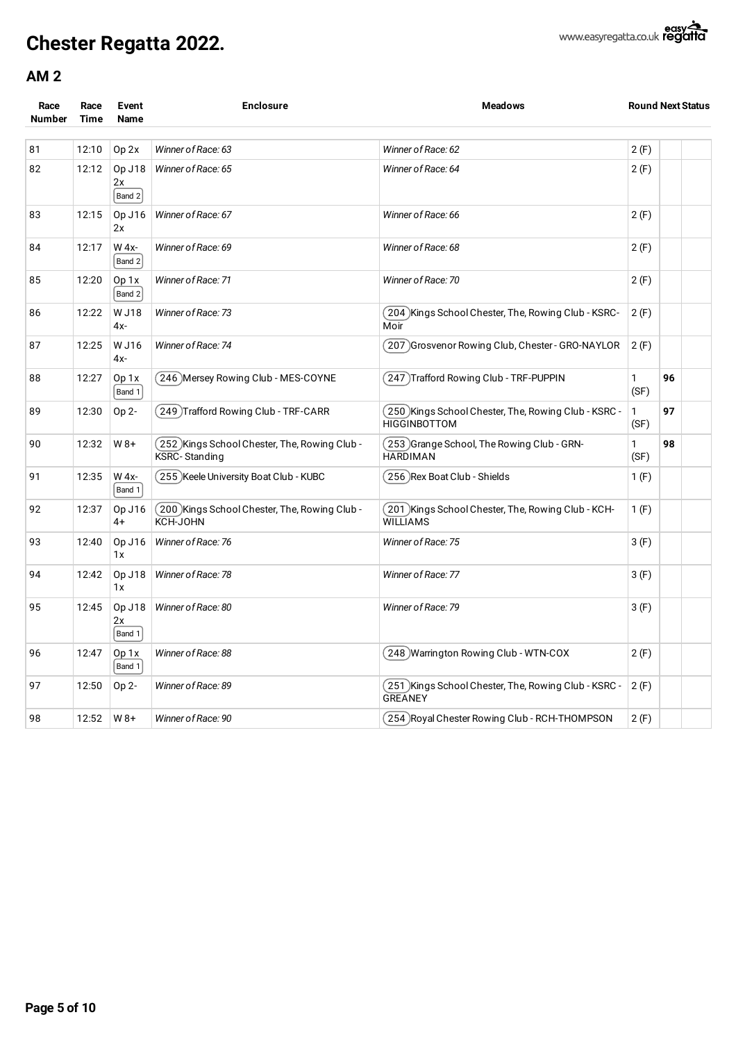| Race<br><b>Number</b> | Race<br><b>Time</b> | Event<br>Name          | <b>Enclosure</b>                                                | <b>Meadows</b>                                                              |           | <b>Round Next Status</b> |  |
|-----------------------|---------------------|------------------------|-----------------------------------------------------------------|-----------------------------------------------------------------------------|-----------|--------------------------|--|
| 81                    | 12:10               | Op <sub>2x</sub>       | Winner of Race: 63                                              | Winner of Race: 62                                                          | 2(F)      |                          |  |
| 82                    | 12:12               | Op J18<br>2x<br>Band 2 | Winner of Race: 65                                              | Winner of Race: 64                                                          | 2(F)      |                          |  |
| 83                    | 12:15               | Op J16<br>2x           | Winner of Race: 67                                              | Winner of Race: 66                                                          | 2(F)      |                          |  |
| 84                    | 12:17               | W 4x-<br>Band 2        | Winner of Race: 69                                              | Winner of Race: 68                                                          | 2(F)      |                          |  |
| 85                    | 12:20               | Op 1x<br>Band 2        | Winner of Race: 71                                              | Winner of Race: 70                                                          | 2(F)      |                          |  |
| 86                    | 12:22               | W J18<br>4x-           | Winner of Race: 73                                              | (204) Kings School Chester, The, Rowing Club - KSRC-<br>Moir                | 2(F)      |                          |  |
| 87                    | 12:25               | W J16<br>4x-           | Winner of Race: 74                                              | (207) Grosvenor Rowing Club, Chester - GRO-NAYLOR                           | 2(F)      |                          |  |
| 88                    | 12:27               | Op 1x<br>Band 1        | (246)Mersey Rowing Club - MES-COYNE                             | (247) Trafford Rowing Club - TRF-PUPPIN                                     | 1<br>(SF) | 96                       |  |
| 89                    | 12:30               | Op 2-                  | (249) Trafford Rowing Club - TRF-CARR                           | (250)Kings School Chester, The, Rowing Club - KSRC -<br><b>HIGGINBOTTOM</b> | 1<br>(SF) | 97                       |  |
| 90                    | 12:32               | $W8+$                  | (252) Kings School Chester, The, Rowing Club -<br>KSRC-Standing | (253) Grange School, The Rowing Club - GRN-<br><b>HARDIMAN</b>              | 1<br>(SF) | 98                       |  |
| 91                    | 12:35               | W 4x-<br>Band 1        | (255) Keele University Boat Club - KUBC                         | (256) Rex Boat Club - Shields                                               | 1(F)      |                          |  |
| 92                    | 12:37               | Op J16<br>4+           | (200) Kings School Chester, The, Rowing Club -<br>KCH-JOHN      | (201) Kings School Chester, The, Rowing Club - KCH-<br><b>WILLIAMS</b>      | 1(F)      |                          |  |
| 93                    | 12:40               | Op J16<br>1x           | Winner of Race: 76                                              | Winner of Race: 75                                                          | 3(F)      |                          |  |
| 94                    | 12:42               | Op J18<br>1x           | Winner of Race: 78                                              | Winner of Race: 77                                                          | 3(F)      |                          |  |
| 95                    | 12:45               | Op J18<br>2x<br>Band 1 | Winner of Race: 80                                              | Winner of Race: 79                                                          | 3(F)      |                          |  |
| 96                    | 12:47               | Op 1x<br>Band 1        | Winner of Race: 88                                              | (248 )Warrington Rowing Club - WTN-COX                                      | 2(F)      |                          |  |
| 97                    | 12:50               | Op 2-                  | Winner of Race: 89                                              | (251) Kings School Chester, The, Rowing Club - KSRC -<br><b>GREANEY</b>     | 2(F)      |                          |  |
| 98                    | 12:52               | $W8+$                  | Winner of Race: 90                                              | (254)Royal Chester Rowing Club - RCH-THOMPSON                               | 2(F)      |                          |  |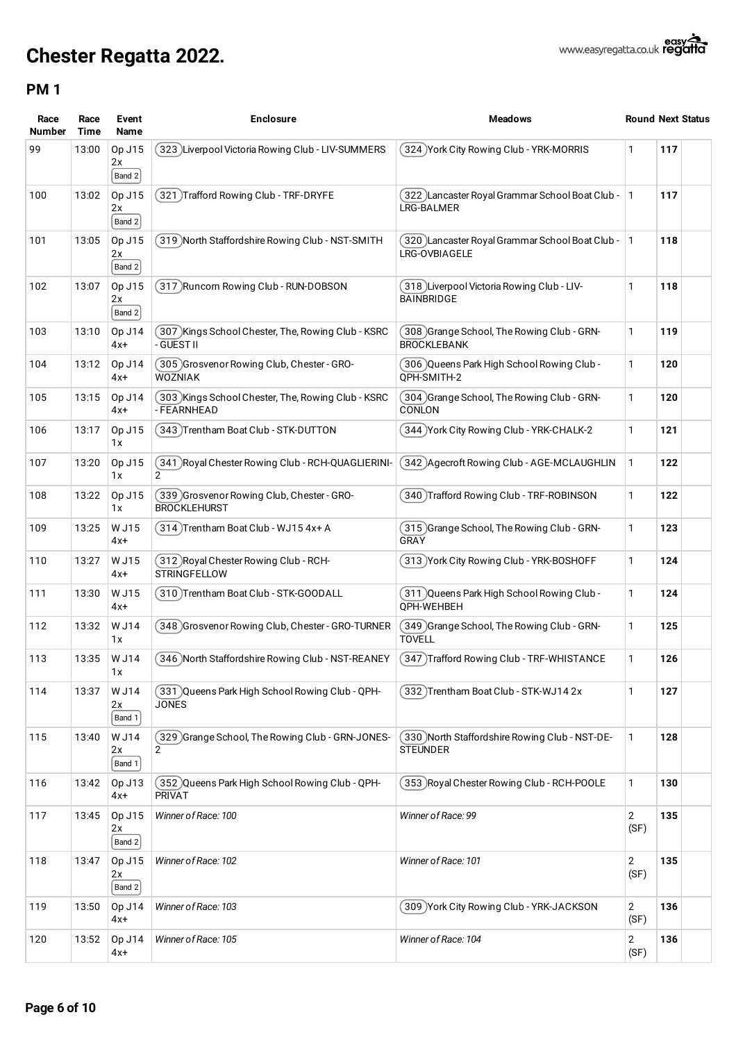| Race<br><b>Number</b> | Race<br><b>Time</b> | Event<br>Name              | <b>Enclosure</b>                                                     | <b>Meadows</b>                                                     |                        | <b>Round Next Status</b> |
|-----------------------|---------------------|----------------------------|----------------------------------------------------------------------|--------------------------------------------------------------------|------------------------|--------------------------|
| 99                    | 13:00               | Op J15<br>2x<br>Band 2     | 323 )Liverpool Victoria Rowing Club - LIV-SUMMERS                    | 324 York City Rowing Club - YRK-MORRIS                             | 1                      | 117                      |
| 100                   | 13:02               | Op J15<br>2x<br>$ $ Band 2 | 321 )Trafford Rowing Club - TRF-DRYFE                                | 322 Lancaster Royal Grammar School Boat Club - 1<br>LRG-BALMER     |                        | 117                      |
| 101                   | 13:05               | Op J15<br>2x<br>Band 2     | 319 )North Staffordshire Rowing Club - NST-SMITH                     | 320 )Lancaster Royal Grammar School Boat Club -<br>LRG-OVBIAGELE   | $\vert$ 1              | 118                      |
| 102                   | 13:07               | Op J15<br>2x<br>Band 2     | 317 Runcorn Rowing Club - RUN-DOBSON                                 | 318 )Liverpool Victoria Rowing Club - LIV-<br><b>BAINBRIDGE</b>    | 1                      | 118                      |
| 103                   | 13:10               | Op J14<br>$4x+$            | (307 )Kings School Chester, The, Rowing Club - KSRC<br>- GUEST II    | 308 Grange School, The Rowing Club - GRN-<br><b>BROCKLEBANK</b>    | 1                      | 119                      |
| 104                   | 13:12               | Op J14<br>$4x+$            | 305 Grosvenor Rowing Club, Chester - GRO-<br><b>WOZNIAK</b>          | 306 Queens Park High School Rowing Club -<br>OPH-SMITH-2           | 1                      | 120                      |
| 105                   | 13:15               | Op J14<br>$4x+$            | (303 )Kings School Chester, The, Rowing Club - KSRC<br>- FEARNHEAD   | 304 Grange School, The Rowing Club - GRN-<br>CONLON                | 1                      | 120                      |
| 106                   | 13:17               | Op J15<br>1x               | 343 Trentham Boat Club - STK-DUTTON                                  | 344 York City Rowing Club - YRK-CHALK-2                            | 1                      | 121                      |
| 107                   | 13:20               | Op J15<br>1x               | (341 )Royal Chester Rowing Club - RCH-QUAGLIERINI-<br>$\overline{2}$ | 342 )Agecroft Rowing Club - AGE-MCLAUGHLIN                         | 1                      | 122                      |
| 108                   | 13:22               | Op J15<br>1 x              | 339 Grosvenor Rowing Club, Chester - GRO-<br><b>BROCKLEHURST</b>     | 340 Trafford Rowing Club - TRF-ROBINSON                            | 1                      | 122                      |
| 109                   | 13:25               | W J15<br>$4x+$             | 314) Trentham Boat Club - WJ15 4x+ A                                 | 315 Grange School, The Rowing Club - GRN-<br>GRAY                  | 1                      | 123                      |
| 110                   | 13:27               | W J15<br>4x+               | (312 )Royal Chester Rowing Club - RCH-<br><b>STRINGFELLOW</b>        | 313 York City Rowing Club - YRK-BOSHOFF)                           | 1                      | 124                      |
| 111                   | 13:30               | W J15<br>4x+               | 310)Trentham Boat Club - STK-GOODALL                                 | 311 )Queens Park High School Rowing Club -<br>OPH-WEHBEH           | 1                      | 124                      |
| 112                   | 13:32               | W J14<br>1x                | 348 Grosvenor Rowing Club, Chester - GRO-TURNER )                    | (349 )Grange School, The Rowing Club - GRN-<br><b>TOVELL</b>       | 1                      | 125                      |
| 113                   | 13:35               | W J14<br>1x                | 346 North Staffordshire Rowing Club - NST-REANEY                     | 347) Trafford Rowing Club - TRF-WHISTANCE                          | 1                      | 126                      |
| 114                   | 13:37               | W J14<br>2x<br>Band 1      | (331 )Queens Park High School Rowing Club - QPH-<br><b>JONES</b>     | 332)Trentham Boat Club - STK-WJ14 2x                               | 1                      | 127                      |
| 115                   | 13:40               | W J14<br>2x<br>Band 1      | (329) Grange School, The Rowing Club - GRN-JONES-<br>$\overline{2}$  | (330) North Staffordshire Rowing Club - NST-DE-<br><b>STEUNDER</b> | 1                      | 128                      |
| 116                   | 13:42               | Op J13<br>$4x+$            | (352) Queens Park High School Rowing Club - QPH-<br><b>PRIVAT</b>    | 353 Royal Chester Rowing Club - RCH-POOLE                          | 1                      | 130                      |
| 117                   | 13:45               | Op J15<br>2x<br>Band 2     | Winner of Race: 100                                                  | Winner of Race: 99                                                 | $\overline{c}$<br>(SF) | 135                      |
| 118                   | 13:47               | Op J15<br>2x<br>$ $ Band 2 | Winner of Race: 102                                                  | Winner of Race: 101                                                | 2<br>(SF)              | 135                      |
| 119                   | 13:50               | Op J14<br>$4x+$            | Winner of Race: 103                                                  | 309 York City Rowing Club - YRK-JACKSON                            | 2<br>(SF)              | 136                      |
| 120                   | 13:52               | Op J14<br>4x+              | Winner of Race: 105                                                  | Winner of Race: 104                                                | 2<br>(SF)              | 136                      |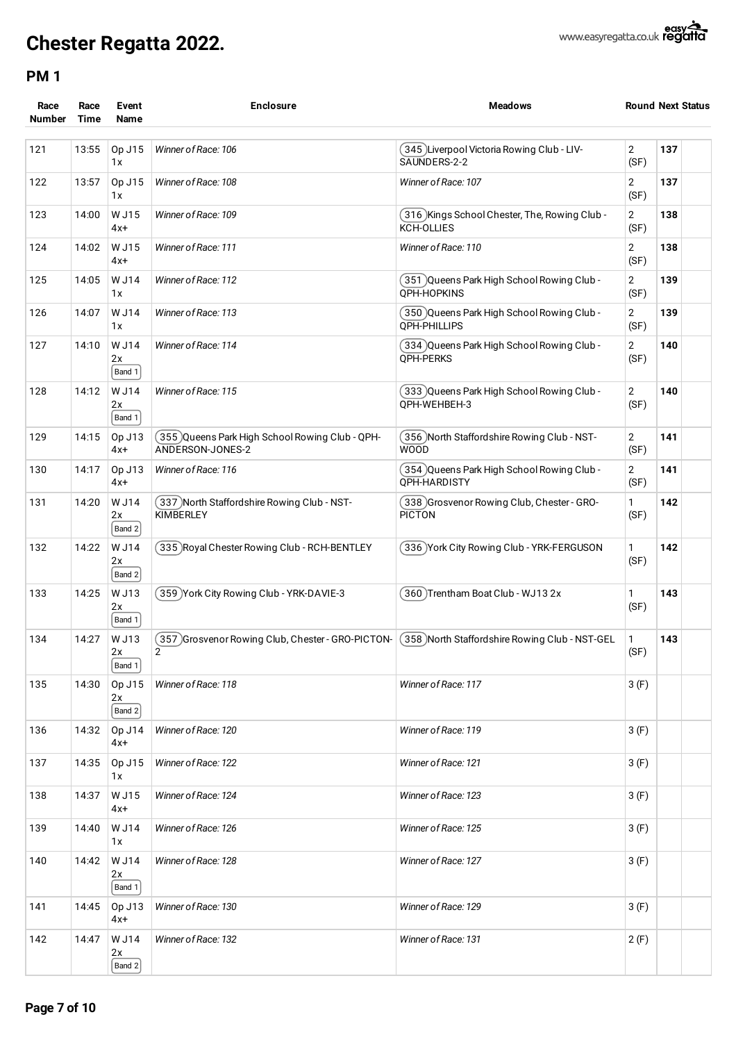| Race<br><b>Number</b> | Race<br>Time | Event<br><b>Name</b>   | <b>Enclosure</b>                                                    | <b>Meadows</b>                                               | <b>Round Next Status</b> |     |  |
|-----------------------|--------------|------------------------|---------------------------------------------------------------------|--------------------------------------------------------------|--------------------------|-----|--|
| 121                   | 13:55        | Op J15<br>1x           | Winner of Race: 106                                                 | (345 )Liverpool Victoria Rowing Club - LIV-<br>SAUNDERS-2-2  | $\overline{c}$<br>(SF)   | 137 |  |
| 122                   | 13:57        | Op J15<br>1x           | Winner of Race: 108                                                 | Winner of Race: 107                                          | 2<br>(SF)                | 137 |  |
| 123                   | 14:00        | W J15<br>4x+           | Winner of Race: 109                                                 | (316 )Kings School Chester, The, Rowing Club -<br>KCH-OLLIES | 2<br>(SF)                | 138 |  |
| 124                   | 14:02        | W J15<br>4x+           | Winner of Race: 111                                                 | Winner of Race: 110                                          | 2<br>(SF)                | 138 |  |
| 125                   | 14:05        | W J14<br>1x            | Winner of Race: 112                                                 | 351 )Queens Park High School Rowing Club -<br>OPH-HOPKINS    | 2<br>(SF)                | 139 |  |
| 126                   | 14:07        | W J14<br>1 x           | Winner of Race: 113                                                 | 350 Queens Park High School Rowing Club -<br>QPH-PHILLIPS    | 2<br>(SF)                | 139 |  |
| 127                   | 14:10        | W J14<br>2x<br>Band 1  | Winner of Race: 114                                                 | 334 Queens Park High School Rowing Club -<br>QPH-PERKS       | 2<br>(SF)                | 140 |  |
| 128                   | 14:12        | W J14<br>2x<br>Band 1  | Winner of Race: 115                                                 | 333 Queens Park High School Rowing Club -<br>QPH-WEHBEH-3    | 2<br>(SF)                | 140 |  |
| 129                   | 14:15        | Op J13<br>4x+          | (355)Queens Park High School Rowing Club - QPH-<br>ANDERSON-JONES-2 | 356 )North Staffordshire Rowing Club - NST-<br><b>WOOD</b>   | 2<br>(SF)                | 141 |  |
| 130                   | 14:17        | Op J13<br>4x+          | Winner of Race: 116                                                 | 354 Queens Park High School Rowing Club -<br>OPH-HARDISTY    | 2<br>(SF)                | 141 |  |
| 131                   | 14:20        | W J14<br>2x<br>Band 2  | (337)North Staffordshire Rowing Club - NST-<br><b>KIMBERLEY</b>     | 338 Grosvenor Rowing Club, Chester - GRO-<br><b>PICTON</b>   | 1<br>(SF)                | 142 |  |
| 132                   | 14:22        | W J14<br>2x<br>Band 2  | 335 Royal Chester Rowing Club - RCH-BENTLEY                         | 336 York City Rowing Club - YRK-FERGUSON                     | 1<br>(SF)                | 142 |  |
| 133                   | 14:25        | W J13<br>2x<br>Band 1  | 359 York City Rowing Club - YRK-DAVIE-3                             | 360)Trentham Boat Club - WJ13 2x                             | 1<br>(SF)                | 143 |  |
| 134                   | 14:27        | W J13<br>2x<br>Band 1  | 357 Grosvenor Rowing Club, Chester - GRO-PICTON-<br>2               | 358 North Staffordshire Rowing Club - NST-GEL                | 1<br>(SF)                | 143 |  |
| 135                   | 14:30        | Op J15<br>2x<br>Band 2 | Winner of Race: 118                                                 | Winner of Race: 117                                          | 3(F)                     |     |  |
| 136                   | 14:32        | Op J14<br>$4x+$        | Winner of Race: 120                                                 | Winner of Race: 119                                          | 3(F)                     |     |  |
| 137                   | 14:35        | Op J15<br>1x           | Winner of Race: 122                                                 | Winner of Race: 121                                          | 3(F)                     |     |  |
| 138                   | 14:37        | W J15<br>$4x+$         | Winner of Race: 124                                                 | Winner of Race: 123                                          | 3(F)                     |     |  |
| 139                   | 14:40        | W J14<br>1 x           | Winner of Race: 126                                                 | Winner of Race: 125                                          | 3(F)                     |     |  |
| 140                   | 14:42        | W J14<br>2x<br>Band 1  | Winner of Race: 128                                                 | Winner of Race: 127                                          | 3(F)                     |     |  |
| 141                   | 14:45        | Op J13<br>$4x+$        | Winner of Race: 130                                                 | Winner of Race: 129                                          | 3(F)                     |     |  |
| 142                   | 14:47        | W J14<br>2x<br>Band 2  | Winner of Race: 132                                                 | Winner of Race: 131                                          | 2(F)                     |     |  |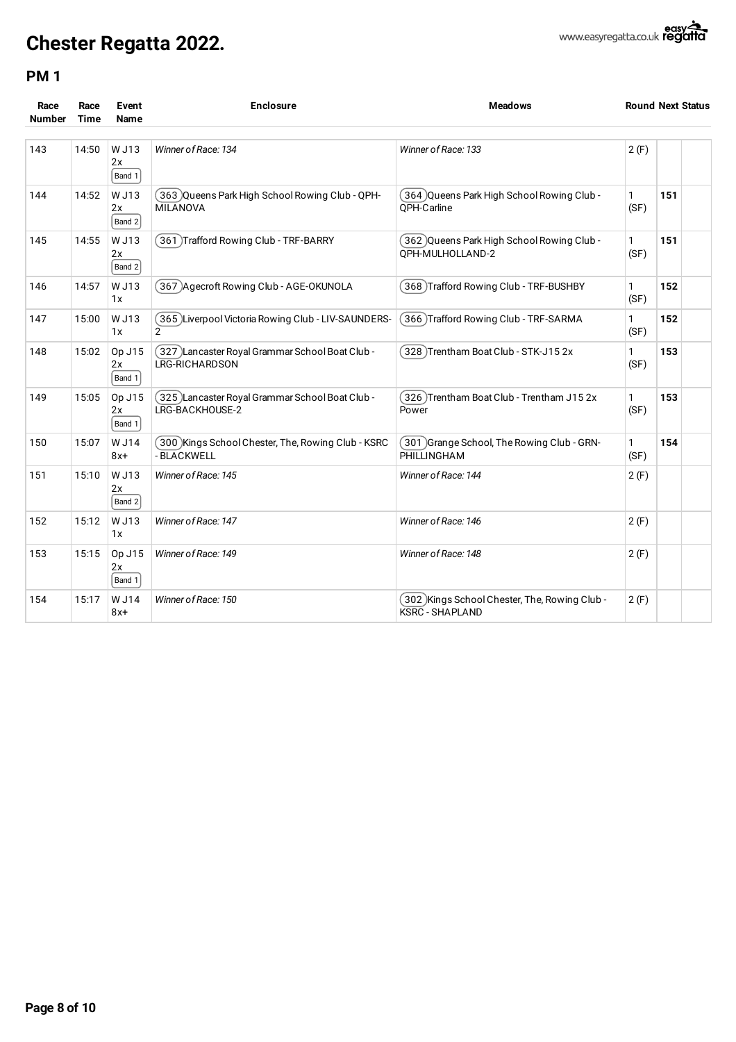| Race<br><b>Number</b> | Race<br><b>Time</b> | Event<br>Name          | <b>Enclosure</b>                                                    | <b>Meadows</b>                                                         |                      | <b>Round Next Status</b> |  |
|-----------------------|---------------------|------------------------|---------------------------------------------------------------------|------------------------------------------------------------------------|----------------------|--------------------------|--|
| 143                   | 14:50               | W J13<br>2x<br>Band 1  | Winner of Race: 134                                                 | Winner of Race: 133                                                    | 2(F)                 |                          |  |
| 144                   | 14:52               | W J13<br>2x<br>Band 2  | 363 Queens Park High School Rowing Club - QPH-<br><b>MILANOVA</b>   | 364 )Queens Park High School Rowing Club -<br>OPH-Carline              | $\mathbf{1}$<br>(SF) | 151                      |  |
| 145                   | 14:55               | W J13<br>2x<br>Band 2  | 361 Trafford Rowing Club - TRF-BARRY                                | . 362 )Queens Park High School Rowing Club (<br>QPH-MULHOLLAND-2       | 1<br>(SF)            | 151                      |  |
| 146                   | 14:57               | W J13<br>1x            | 367 )Agecroft Rowing Club - AGE-OKUNOLA                             | 368 Trafford Rowing Club - TRF-BUSHBY]                                 | $\mathbf{1}$<br>(SF) | 152                      |  |
| 147                   | 15:00               | W J13<br>1x            | 365 Liverpool Victoria Rowing Club - LIV-SAUNDERS-<br>$\mathcal{P}$ | 366 Trafford Rowing Club - TRF-SARMA                                   | $\mathbf{1}$<br>(SF) | 152                      |  |
| 148                   | 15:02               | Op J15<br>2x<br>Band 1 | 327 )Lancaster Royal Grammar School Boat Club -<br>LRG-RICHARDSON   | 328)Trentham Boat Club - STK-J15 2x                                    | 1<br>(SF)            | 153                      |  |
| 149                   | 15:05               | Op J15<br>2x<br>Band 1 | 325 )Lancaster Royal Grammar School Boat Club -<br>LRG-BACKHOUSE-2  | 326 )Trentham Boat Club - Trentham J15 2x<br>Power                     | $\mathbf{1}$<br>(SF) | 153                      |  |
| 150                   | 15:07               | W J14<br>$8x+$         | 300 Kings School Chester, The, Rowing Club - KSRC<br>- BLACKWELL    | (301 )Grange School, The Rowing Club - GRN-<br>PHILLINGHAM             | $\mathbf{1}$<br>(SF) | 154                      |  |
| 151                   | 15:10               | W J13<br>2x<br>Band 2  | Winner of Race: 145                                                 | Winner of Race: 144                                                    | 2(F)                 |                          |  |
| 152                   | 15:12               | W J13<br>1x            | Winner of Race: 147                                                 | Winner of Race: 146                                                    | 2(F)                 |                          |  |
| 153                   | 15:15               | Op J15<br>2x<br>Band 1 | Winner of Race: 149                                                 | Winner of Race: 148                                                    | 2(F)                 |                          |  |
| 154                   | 15:17               | W J14<br>8x+           | Winner of Race: 150                                                 | 302 Kings School Chester, The, Rowing Club -<br><b>KSRC - SHAPLAND</b> | 2(F)                 |                          |  |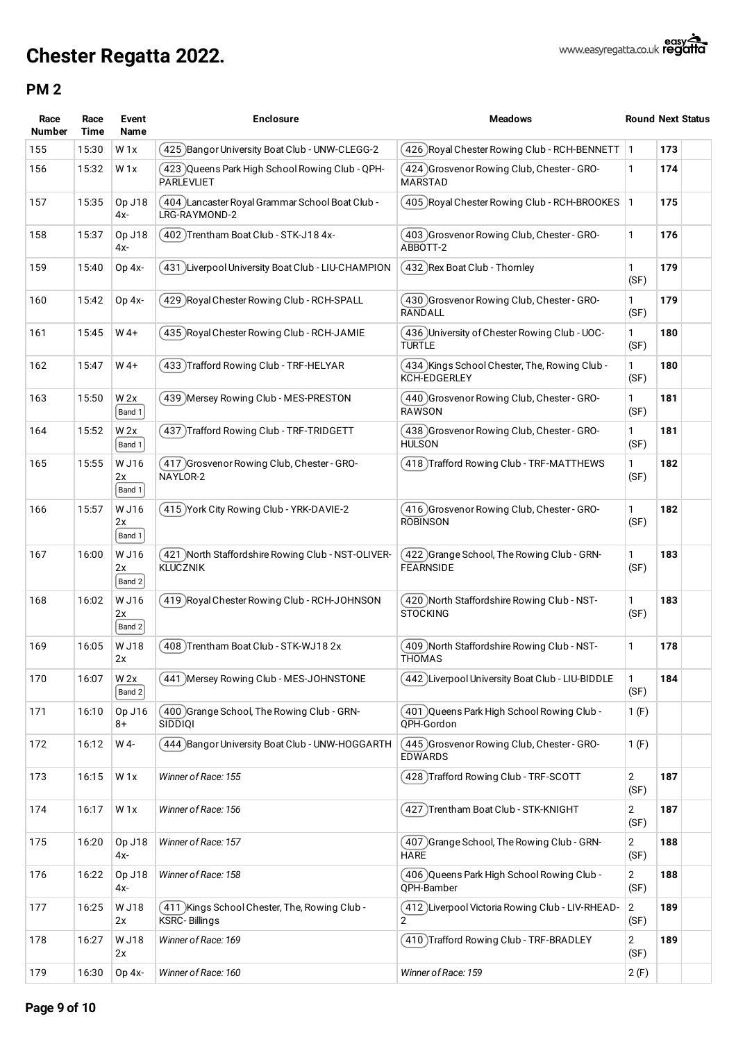| Race<br><b>Number</b> | Race<br>Time | Event<br>Name         | <b>Enclosure</b>                                                      | <b>Meadows</b>                                                       |                        | <b>Round Next Status</b> |
|-----------------------|--------------|-----------------------|-----------------------------------------------------------------------|----------------------------------------------------------------------|------------------------|--------------------------|
| 155                   | 15:30        | W <sub>1x</sub>       | 425) Bangor University Boat Club - UNW-CLEGG-2                        | (426 )Royal Chester Rowing Club - RCH-BENNETT                        | $\vert$ 1              | 173                      |
| 156                   | 15:32        | W1x                   | 423 )Queens Park High School Rowing Club - QPH-<br><b>PARLEVLIET</b>  | (424 )Grosvenor Rowing Club, Chester - GRO-<br><b>MARSTAD</b>        | 1                      | 174                      |
| 157                   | 15:35        | Op J18<br>4х-         | (404)Lancaster Royal Grammar School Boat Club -<br>LRG-RAYMOND-2      | (405) Royal Chester Rowing Club - RCH-BROOKES                        | $\vert$ 1              | 175                      |
| 158                   | 15:37        | Op J18<br>4x-         | 402)Trentham Boat Club - STK-J18 4x-                                  | (403 )Grosvenor Rowing Club, Chester - GRO-<br>ABBOTT-2              | 1                      | 176                      |
| 159                   | 15:40        | $Op 4x-$              | 431 Liverpool University Boat Club - LIU-CHAMPION                     | (432 )Rex Boat Club - Thornley                                       | 1<br>(SF)              | 179                      |
| 160                   | 15:42        | Op 4x-                | 429 Royal Chester Rowing Club - RCH-SPALL                             | (430 )Grosvenor Rowing Club, Chester - GRO-<br><b>RANDALL</b>        | 1<br>(SF)              | 179                      |
| 161                   | 15:45        | $W$ 4+                | 435 Royal Chester Rowing Club - RCH-JAMIE                             | (436 )University of Chester Rowing Club - UOC-<br><b>TURTLE</b>      | 1<br>(SF)              | 180                      |
| 162                   | 15:47        | $W$ 4+                | 433 Trafford Rowing Club - TRF-HELYAR                                 | (434)Kings School Chester, The, Rowing Club -<br><b>KCH-EDGERLEY</b> | $\mathbf{1}$<br>(SF)   | 180                      |
| 163                   | 15:50        | W 2x<br>Band 1        | 439 Mersey Rowing Club - MES-PRESTON                                  | (440 Grosvenor Rowing Club, Chester - GRO-<br><b>RAWSON</b>          | 1<br>(SF)              | 181                      |
| 164                   | 15:52        | W 2x<br>Band 1        | 437 )Trafford Rowing Club - TRF-TRIDGETT                              | (438 )Grosvenor Rowing Club, Chester - GRO-<br><b>HULSON</b>         | 1<br>(SF)              | 181                      |
| 165                   | 15:55        | W J16<br>2x<br>Band 1 | 417 Grosvenor Rowing Club, Chester - GRO-<br>NAYLOR-2                 | (418 )Trafford Rowing Club - TRF-MATTHEWS                            | 1<br>(SF)              | 182                      |
| 166                   | 15:57        | W J16<br>2x<br>Band 1 | 415 York City Rowing Club - YRK-DAVIE-2                               | (416) Grosvenor Rowing Club, Chester - GRO-<br><b>ROBINSON</b>       | 1<br>(SF)              | 182                      |
| 167                   | 16:00        | W J16<br>2x<br>Band 2 | 421 North Staffordshire Rowing Club - NST-OLIVER-<br><b>KLUCZNIK</b>  | (422) Grange School, The Rowing Club - GRN-<br><b>FEARNSIDE</b>      | 1<br>(SF)              | 183                      |
| 168                   | 16:02        | W J16<br>2x<br>Band 2 | 419 Royal Chester Rowing Club - RCH-JOHNSON                           | (420 )North Staffordshire Rowing Club - NST-<br><b>STOCKING</b>      | $\mathbf{1}$<br>(SF)   | 183                      |
| 169                   | 16:05        | W J18<br>2x           | 408) Trentham Boat Club - STK-WJ18 2x                                 | (409 )North Staffordshire Rowing Club - NST-<br>THOMAS               | 1                      | 178                      |
| 170                   | 16:07        | W 2x<br>Band 2        | 441 Mersey Rowing Club - MES-JOHNSTONE                                | 442 )Liverpool University Boat Club - LIU-BIDDLE                     | 1<br>(SF)              | 184                      |
| 171                   | 16:10        | Op J16<br>8+          | 400 Grange School, The Rowing Club - GRN-<br>SIDDIQI                  | ( 401 )Queens Park High School Rowing Club -<br>QPH-Gordon           | 1(F)                   |                          |
| 172                   | 16:12        | W 4-                  | 444 )Bangor University Boat Club - UNW-HOGGARTH                       | (445) Grosvenor Rowing Club, Chester - GRO-<br><b>EDWARDS</b>        | 1(F)                   |                          |
| 173                   | 16:15        | W <sub>1x</sub>       | Winner of Race: 155                                                   | (428)Trafford Rowing Club - TRF-SCOTT                                | 2<br>(SF)              | 187                      |
| 174                   | 16:17        | W <sub>1x</sub>       | Winner of Race: 156                                                   | ( 427 )Trentham Boat Club - STK-KNIGHT                               | 2<br>(SF)              | 187                      |
| 175                   | 16:20        | Op J18<br>4x-         | Winner of Race: 157                                                   | ( 407 )Grange School, The Rowing Club - GRN-<br><b>HARE</b>          | $\overline{2}$<br>(SF) | 188                      |
| 176                   | 16:22        | Op J18<br>4х-         | Winner of Race: 158                                                   | (406 )Queens Park High School Rowing Club -<br>QPH-Bamber            | $\overline{2}$<br>(SF) | 188                      |
| 177                   | 16:25        | W J18<br>2x           | 411 )Kings School Chester, The, Rowing Club -<br><b>KSRC-Billings</b> | (412 )Liverpool Victoria Rowing Club - LIV-RHEAD-<br>$\overline{2}$  | 2<br>(SF)              | 189                      |
| 178                   | 16:27        | W J18<br>2x           | Winner of Race: 169                                                   | (410 )Trafford Rowing Club - TRF-BRADLEY                             | 2<br>(SF)              | 189                      |
| 179                   | 16:30        | Op 4x-                | Winner of Race: 160                                                   | Winner of Race: 159                                                  | 2(F)                   |                          |